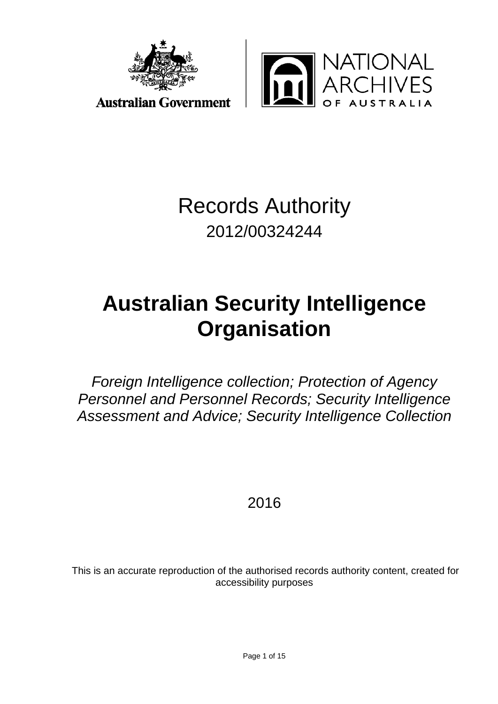



Records Authority 2012/00324244

# **Australian Security Intelligence Organisation**

*Foreign Intelligence collection; Protection of Agency Personnel and Personnel Records; Security Intelligence Assessment and Advice; Security Intelligence Collection*

2016

This is an accurate reproduction of the authorised records authority content, created for accessibility purposes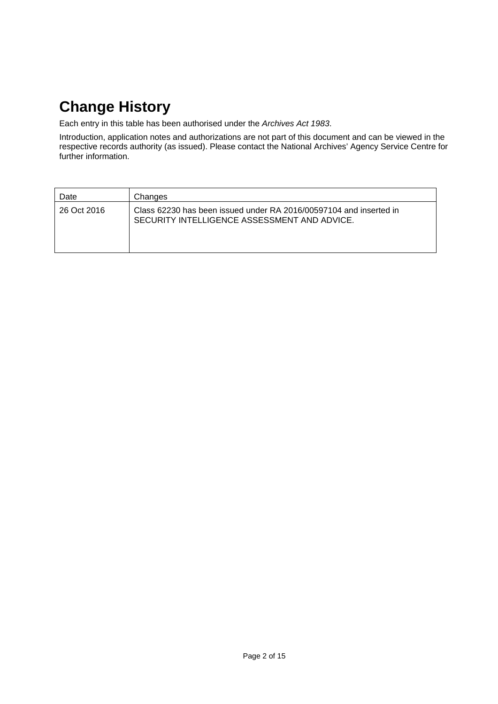## **Change History**

Each entry in this table has been authorised under the *Archives Act 1983*.

Introduction, application notes and authorizations are not part of this document and can be viewed in the respective records authority (as issued). Please contact the National Archives' Agency Service Centre for further information.

| Date        | Changes                                                                                                            |
|-------------|--------------------------------------------------------------------------------------------------------------------|
| 26 Oct 2016 | Class 62230 has been issued under RA 2016/00597104 and inserted in<br>SECURITY INTELLIGENCE ASSESSMENT AND ADVICE. |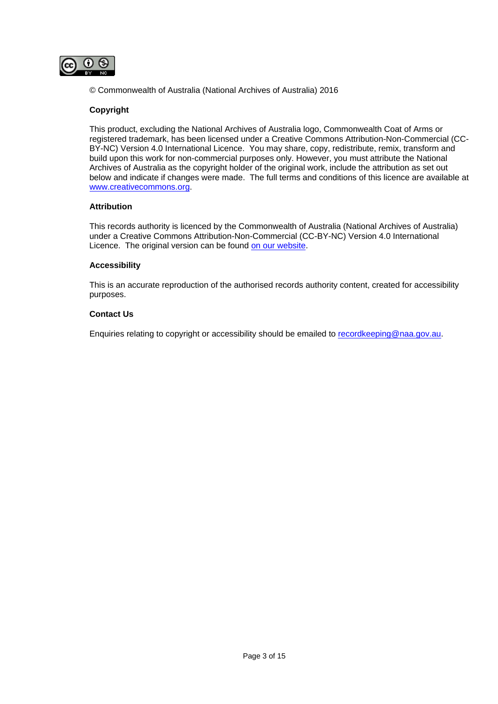

© Commonwealth of Australia (National Archives of Australia) 2016

#### **Copyright**

This product, excluding the National Archives of Australia logo, Commonwealth Coat of Arms or registered trademark, has been licensed under a Creative Commons Attribution-Non-Commercial (CC-BY-NC) Version 4.0 International Licence. You may share, copy, redistribute, remix, transform and build upon this work for non-commercial purposes only. However, you must attribute the National Archives of Australia as the copyright holder of the original work, include the attribution as set out below and indicate if changes were made. The full terms and conditions of this licence are available at [www.creativecommons.org.](http://www.creativecommons.org/)

#### **Attribution**

This records authority is licenced by the Commonwealth of Australia (National Archives of Australia) under a Creative Commons Attribution-Non-Commercial (CC-BY-NC) Version 4.0 International Licence. The original version can be found [on our website.](http://www.naa.gov.au/)

#### **Accessibility**

This is an accurate reproduction of the authorised records authority content, created for accessibility purposes.

#### **Contact Us**

Enquiries relating to copyright or accessibility should be emailed to [recordkeeping@naa.gov.au.](mailto:recordkeeping@naa.gov.au)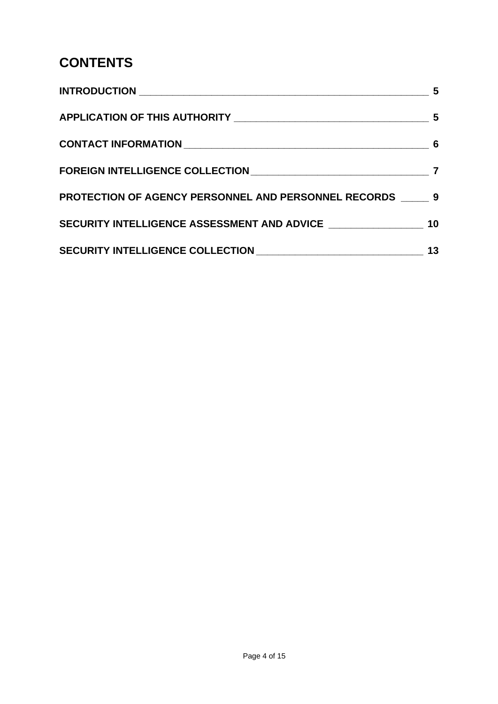### **CONTENTS**

|                                                               | 5  |
|---------------------------------------------------------------|----|
|                                                               |    |
|                                                               |    |
|                                                               |    |
| <b>PROTECTION OF AGENCY PERSONNEL AND PERSONNEL RECORDS 9</b> |    |
|                                                               |    |
|                                                               | 13 |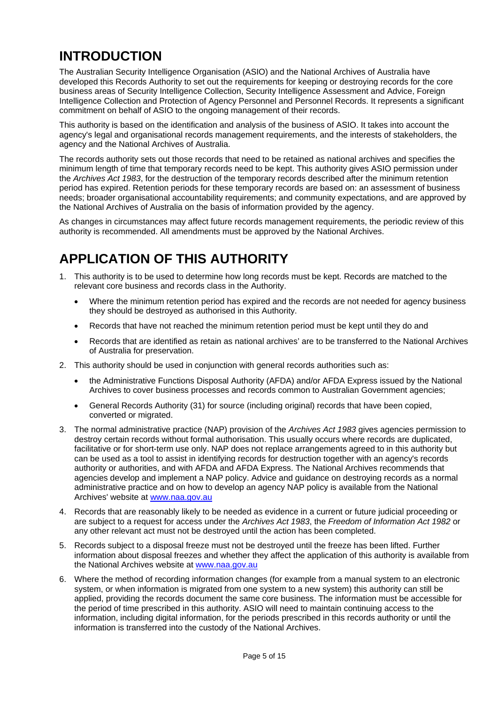### <span id="page-4-0"></span>**INTRODUCTION**

The Australian Security Intelligence Organisation (ASIO) and the National Archives of Australia have developed this Records Authority to set out the requirements for keeping or destroying records for the core business areas of Security Intelligence Collection, Security Intelligence Assessment and Advice, Foreign Intelligence Collection and Protection of Agency Personnel and Personnel Records. It represents a significant commitment on behalf of ASIO to the ongoing management of their records.

This authority is based on the identification and analysis of the business of ASIO. It takes into account the agency's legal and organisational records management requirements, and the interests of stakeholders, the agency and the National Archives of Australia.

The records authority sets out those records that need to be retained as national archives and specifies the minimum length of time that temporary records need to be kept. This authority gives ASIO permission under the *Archives Act 1983*, for the destruction of the temporary records described after the minimum retention period has expired. Retention periods for these temporary records are based on: an assessment of business needs; broader organisational accountability requirements; and community expectations, and are approved by the National Archives of Australia on the basis of information provided by the agency.

As changes in circumstances may affect future records management requirements, the periodic review of this authority is recommended. All amendments must be approved by the National Archives.

### <span id="page-4-1"></span>**APPLICATION OF THIS AUTHORITY**

- 1. This authority is to be used to determine how long records must be kept. Records are matched to the relevant core business and records class in the Authority.
	- Where the minimum retention period has expired and the records are not needed for agency business they should be destroyed as authorised in this Authority.
	- Records that have not reached the minimum retention period must be kept until they do and
	- Records that are identified as retain as national archives' are to be transferred to the National Archives of Australia for preservation.
- 2. This authority should be used in conjunction with general records authorities such as:
	- the Administrative Functions Disposal Authority (AFDA) and/or AFDA Express issued by the National Archives to cover business processes and records common to Australian Government agencies;
	- General Records Authority (31) for source (including original) records that have been copied, converted or migrated.
- 3. The normal administrative practice (NAP) provision of the *Archives Act 1983* gives agencies permission to destroy certain records without formal authorisation. This usually occurs where records are duplicated, facilitative or for short-term use only. NAP does not replace arrangements agreed to in this authority but can be used as a tool to assist in identifying records for destruction together with an agency's records authority or authorities, and with AFDA and AFDA Express. The National Archives recommends that agencies develop and implement a NAP policy. Advice and guidance on destroying records as a normal administrative practice and on how to develop an agency NAP policy is available from the National Archives' website at [www.naa.gov.au](http://www.naa.gov.au/)
- 4. Records that are reasonably likely to be needed as evidence in a current or future judicial proceeding or are subject to a request for access under the *Archives Act 1983*, the *Freedom of Information Act 1982* or any other relevant act must not be destroyed until the action has been completed.
- 5. Records subject to a disposal freeze must not be destroyed until the freeze has been lifted. Further information about disposal freezes and whether they affect the application of this authority is available from the National Archives website at [www.naa.gov.au](http://www.naa.gov.au/)
- 6. Where the method of recording information changes (for example from a manual system to an electronic system, or when information is migrated from one system to a new system) this authority can still be applied, providing the records document the same core business. The information must be accessible for the period of time prescribed in this authority. ASIO will need to maintain continuing access to the information, including digital information, for the periods prescribed in this records authority or until the information is transferred into the custody of the National Archives.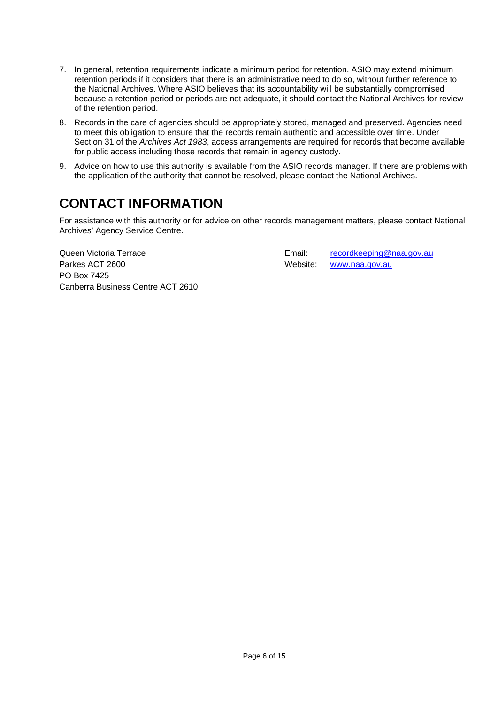- 7. In general, retention requirements indicate a minimum period for retention. ASIO may extend minimum retention periods if it considers that there is an administrative need to do so, without further reference to the National Archives. Where ASIO believes that its accountability will be substantially compromised because a retention period or periods are not adequate, it should contact the National Archives for review of the retention period.
- 8. Records in the care of agencies should be appropriately stored, managed and preserved. Agencies need to meet this obligation to ensure that the records remain authentic and accessible over time. Under Section 31 of the *Archives Act 1983*, access arrangements are required for records that become available for public access including those records that remain in agency custody.
- 9. Advice on how to use this authority is available from the ASIO records manager. If there are problems with the application of the authority that cannot be resolved, please contact the National Archives.

### <span id="page-5-0"></span>**CONTACT INFORMATION**

For assistance with this authority or for advice on other records management matters, please contact National Archives' Agency Service Centre.

Queen Victoria Terrace **Email:** [recordkeeping@naa.gov.au](mailto:recordkeeping@naa.gov.au) Parkes ACT 2600 Metal Control of the Website: [www.naa.gov.au](http://www.naa.gov.au/) PO Box 7425 Canberra Business Centre ACT 2610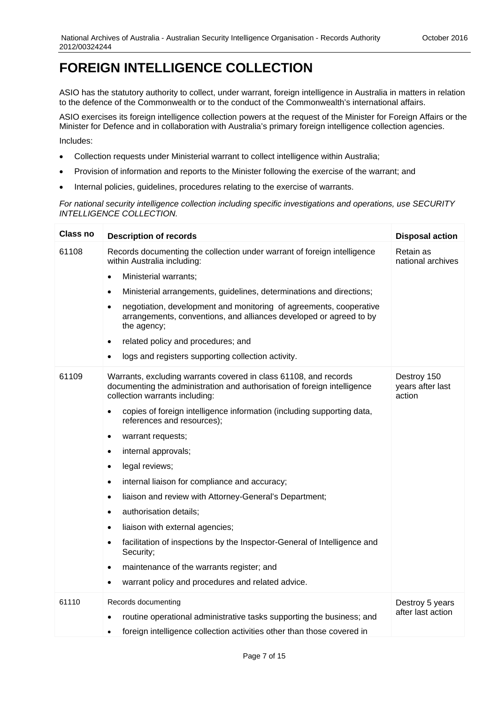#### <span id="page-6-0"></span>**FOREIGN INTELLIGENCE COLLECTION**

ASIO has the statutory authority to collect, under warrant, foreign intelligence in Australia in matters in relation to the defence of the Commonwealth or to the conduct of the Commonwealth's international affairs.

ASIO exercises its foreign intelligence collection powers at the request of the Minister for Foreign Affairs or the Minister for Defence and in collaboration with Australia's primary foreign intelligence collection agencies.

Includes:

- Collection requests under Ministerial warrant to collect intelligence within Australia;
- Provision of information and reports to the Minister following the exercise of the warrant; and
- Internal policies, guidelines, procedures relating to the exercise of warrants.

*For national security intelligence collection including specific investigations and operations, use SECURITY INTELLIGENCE COLLECTION.*

| <b>Class no</b> | <b>Description of records</b>                                                                                                                                                  | <b>Disposal action</b>                    |
|-----------------|--------------------------------------------------------------------------------------------------------------------------------------------------------------------------------|-------------------------------------------|
| 61108           | Records documenting the collection under warrant of foreign intelligence<br>within Australia including:                                                                        | Retain as<br>national archives            |
|                 | Ministerial warrants;<br>$\bullet$                                                                                                                                             |                                           |
|                 | Ministerial arrangements, guidelines, determinations and directions;<br>$\bullet$                                                                                              |                                           |
|                 | negotiation, development and monitoring of agreements, cooperative<br>$\bullet$<br>arrangements, conventions, and alliances developed or agreed to by<br>the agency;           |                                           |
|                 | related policy and procedures; and<br>$\bullet$                                                                                                                                |                                           |
|                 | logs and registers supporting collection activity.<br>$\bullet$                                                                                                                |                                           |
| 61109           | Warrants, excluding warrants covered in class 61108, and records<br>documenting the administration and authorisation of foreign intelligence<br>collection warrants including: | Destroy 150<br>years after last<br>action |
|                 | copies of foreign intelligence information (including supporting data,<br>$\bullet$<br>references and resources);                                                              |                                           |
|                 | warrant requests;<br>$\bullet$                                                                                                                                                 |                                           |
|                 | internal approvals;<br>٠                                                                                                                                                       |                                           |
|                 | legal reviews;<br>$\bullet$                                                                                                                                                    |                                           |
|                 | internal liaison for compliance and accuracy;<br>$\bullet$                                                                                                                     |                                           |
|                 | liaison and review with Attorney-General's Department;<br>$\bullet$                                                                                                            |                                           |
|                 | authorisation details;<br>$\bullet$                                                                                                                                            |                                           |
|                 | liaison with external agencies;<br>$\bullet$                                                                                                                                   |                                           |
|                 | facilitation of inspections by the Inspector-General of Intelligence and<br>Security;                                                                                          |                                           |
|                 | maintenance of the warrants register; and<br>$\bullet$                                                                                                                         |                                           |
|                 | warrant policy and procedures and related advice.<br>$\bullet$                                                                                                                 |                                           |
| 61110           | Records documenting                                                                                                                                                            | Destroy 5 years                           |
|                 | routine operational administrative tasks supporting the business; and                                                                                                          | after last action                         |
|                 | foreign intelligence collection activities other than those covered in<br>$\bullet$                                                                                            |                                           |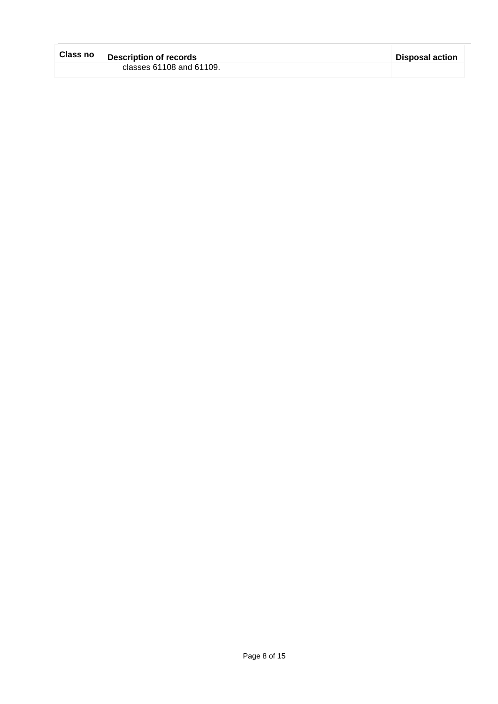| <b>Class no</b> | <b>Description of records</b> | <b>Disposal action</b> |
|-----------------|-------------------------------|------------------------|
|                 | classes 61108 and 61109.      |                        |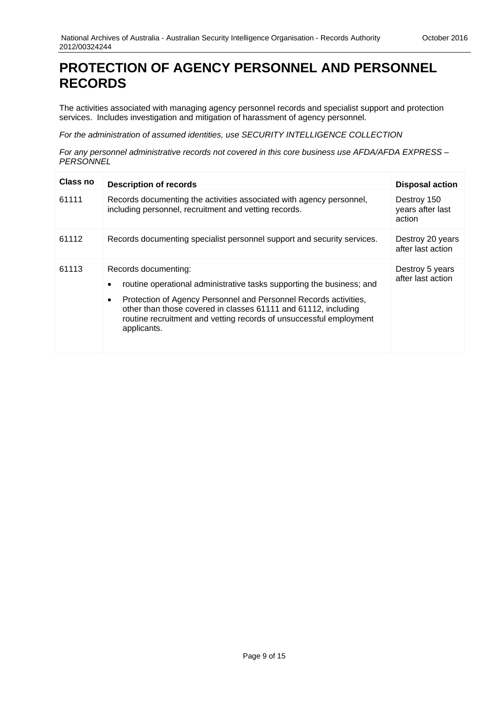#### <span id="page-8-0"></span>**PROTECTION OF AGENCY PERSONNEL AND PERSONNEL RECORDS**

The activities associated with managing agency personnel records and specialist support and protection services. Includes investigation and mitigation of harassment of agency personnel.

*For the administration of assumed identities, use SECURITY INTELLIGENCE COLLECTION*

*For any personnel administrative records not covered in this core business use AFDA/AFDA EXPRESS – PERSONNEL*

| <b>Class no</b> | <b>Description of records</b>                                                                                                                                                                                                                                                                                                         | <b>Disposal action</b>                    |
|-----------------|---------------------------------------------------------------------------------------------------------------------------------------------------------------------------------------------------------------------------------------------------------------------------------------------------------------------------------------|-------------------------------------------|
| 61111           | Records documenting the activities associated with agency personnel,<br>including personnel, recruitment and vetting records.                                                                                                                                                                                                         | Destroy 150<br>years after last<br>action |
| 61112           | Records documenting specialist personnel support and security services.                                                                                                                                                                                                                                                               | Destroy 20 years<br>after last action     |
| 61113           | Records documenting:<br>routine operational administrative tasks supporting the business; and<br>Protection of Agency Personnel and Personnel Records activities,<br>$\bullet$<br>other than those covered in classes 61111 and 61112, including<br>routine recruitment and vetting records of unsuccessful employment<br>applicants. | Destroy 5 years<br>after last action      |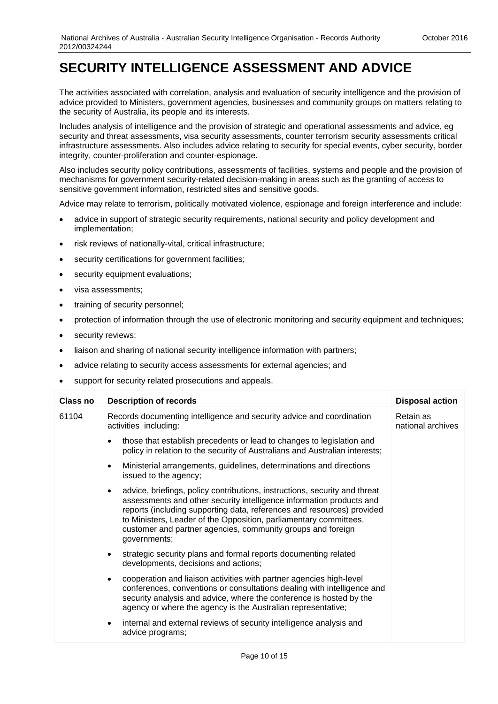#### <span id="page-9-0"></span>**SECURITY INTELLIGENCE ASSESSMENT AND ADVICE**

The activities associated with correlation, analysis and evaluation of security intelligence and the provision of advice provided to Ministers, government agencies, businesses and community groups on matters relating to the security of Australia, its people and its interests.

Includes analysis of intelligence and the provision of strategic and operational assessments and advice, eg security and threat assessments, visa security assessments, counter terrorism security assessments critical infrastructure assessments. Also includes advice relating to security for special events, cyber security, border integrity, counter-proliferation and counter-espionage.

Also includes security policy contributions, assessments of facilities, systems and people and the provision of mechanisms for government security-related decision-making in areas such as the granting of access to sensitive government information, restricted sites and sensitive goods.

Advice may relate to terrorism, politically motivated violence, espionage and foreign interference and include:

- advice in support of strategic security requirements, national security and policy development and implementation;
- risk reviews of nationally-vital, critical infrastructure;
- security certifications for government facilities;
- security equipment evaluations;
- visa assessments;
- training of security personnel;
- protection of information through the use of electronic monitoring and security equipment and techniques;
- security reviews;
- liaison and sharing of national security intelligence information with partners;
- advice relating to security access assessments for external agencies; and
- support for security related prosecutions and appeals.

| <b>Class no</b> | <b>Description of records</b>                                                                                                                                                                                                                                                                                                                                                                 | <b>Disposal action</b>         |
|-----------------|-----------------------------------------------------------------------------------------------------------------------------------------------------------------------------------------------------------------------------------------------------------------------------------------------------------------------------------------------------------------------------------------------|--------------------------------|
| 61104           | Records documenting intelligence and security advice and coordination<br>activities including:                                                                                                                                                                                                                                                                                                | Retain as<br>national archives |
|                 | those that establish precedents or lead to changes to legislation and<br>policy in relation to the security of Australians and Australian interests;                                                                                                                                                                                                                                          |                                |
|                 | Ministerial arrangements, guidelines, determinations and directions<br>$\bullet$<br>issued to the agency;                                                                                                                                                                                                                                                                                     |                                |
|                 | advice, briefings, policy contributions, instructions, security and threat<br>$\bullet$<br>assessments and other security intelligence information products and<br>reports (including supporting data, references and resources) provided<br>to Ministers, Leader of the Opposition, parliamentary committees,<br>customer and partner agencies, community groups and foreign<br>governments; |                                |
|                 | strategic security plans and formal reports documenting related<br>٠<br>developments, decisions and actions;                                                                                                                                                                                                                                                                                  |                                |
|                 | cooperation and liaison activities with partner agencies high-level<br>٠<br>conferences, conventions or consultations dealing with intelligence and<br>security analysis and advice, where the conference is hosted by the<br>agency or where the agency is the Australian representative;                                                                                                    |                                |
|                 | internal and external reviews of security intelligence analysis and<br>٠<br>advice programs;                                                                                                                                                                                                                                                                                                  |                                |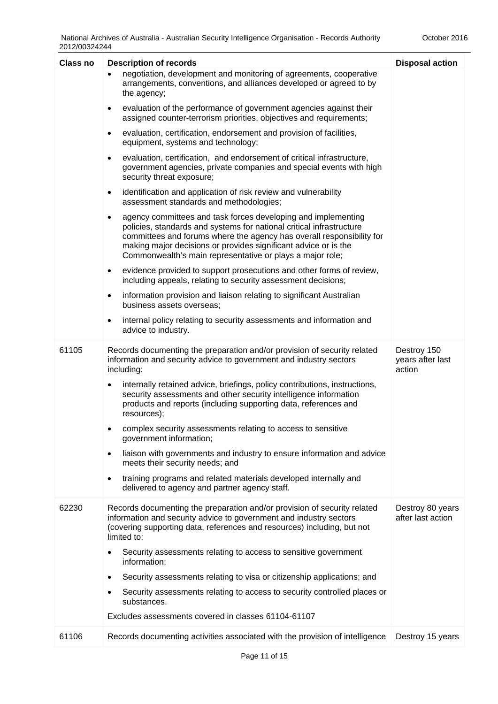| <b>Class no</b> | <b>Description of records</b>                                                                                                                                                                                                                                                                                                                               | <b>Disposal action</b>                    |
|-----------------|-------------------------------------------------------------------------------------------------------------------------------------------------------------------------------------------------------------------------------------------------------------------------------------------------------------------------------------------------------------|-------------------------------------------|
|                 | negotiation, development and monitoring of agreements, cooperative<br>$\bullet$<br>arrangements, conventions, and alliances developed or agreed to by<br>the agency;                                                                                                                                                                                        |                                           |
|                 | evaluation of the performance of government agencies against their<br>$\bullet$<br>assigned counter-terrorism priorities, objectives and requirements;                                                                                                                                                                                                      |                                           |
|                 | evaluation, certification, endorsement and provision of facilities,<br>$\bullet$<br>equipment, systems and technology;                                                                                                                                                                                                                                      |                                           |
|                 | evaluation, certification, and endorsement of critical infrastructure,<br>$\bullet$<br>government agencies, private companies and special events with high<br>security threat exposure;                                                                                                                                                                     |                                           |
|                 | identification and application of risk review and vulnerability<br>$\bullet$<br>assessment standards and methodologies;                                                                                                                                                                                                                                     |                                           |
|                 | agency committees and task forces developing and implementing<br>$\bullet$<br>policies, standards and systems for national critical infrastructure<br>committees and forums where the agency has overall responsibility for<br>making major decisions or provides significant advice or is the<br>Commonwealth's main representative or plays a major role; |                                           |
|                 | evidence provided to support prosecutions and other forms of review,<br>$\bullet$<br>including appeals, relating to security assessment decisions;                                                                                                                                                                                                          |                                           |
|                 | information provision and liaison relating to significant Australian<br>$\bullet$<br>business assets overseas;                                                                                                                                                                                                                                              |                                           |
|                 | internal policy relating to security assessments and information and<br>advice to industry.                                                                                                                                                                                                                                                                 |                                           |
| 61105           | Records documenting the preparation and/or provision of security related<br>information and security advice to government and industry sectors<br>including:                                                                                                                                                                                                | Destroy 150<br>years after last<br>action |
|                 | internally retained advice, briefings, policy contributions, instructions,<br>$\bullet$<br>security assessments and other security intelligence information<br>products and reports (including supporting data, references and<br>resources);                                                                                                               |                                           |
|                 | complex security assessments relating to access to sensitive<br>٠<br>government information;                                                                                                                                                                                                                                                                |                                           |
|                 | liaison with governments and industry to ensure information and advice<br>$\bullet$<br>meets their security needs; and                                                                                                                                                                                                                                      |                                           |
|                 | training programs and related materials developed internally and<br>٠<br>delivered to agency and partner agency staff.                                                                                                                                                                                                                                      |                                           |
| 62230           | Records documenting the preparation and/or provision of security related<br>information and security advice to government and industry sectors<br>(covering supporting data, references and resources) including, but not<br>limited to:                                                                                                                    | Destroy 80 years<br>after last action     |
|                 | Security assessments relating to access to sensitive government<br>information;                                                                                                                                                                                                                                                                             |                                           |
|                 | Security assessments relating to visa or citizenship applications; and<br>$\bullet$                                                                                                                                                                                                                                                                         |                                           |
|                 | Security assessments relating to access to security controlled places or<br>substances.                                                                                                                                                                                                                                                                     |                                           |
|                 | Excludes assessments covered in classes 61104-61107                                                                                                                                                                                                                                                                                                         |                                           |
| 61106           | Records documenting activities associated with the provision of intelligence                                                                                                                                                                                                                                                                                | Destroy 15 years                          |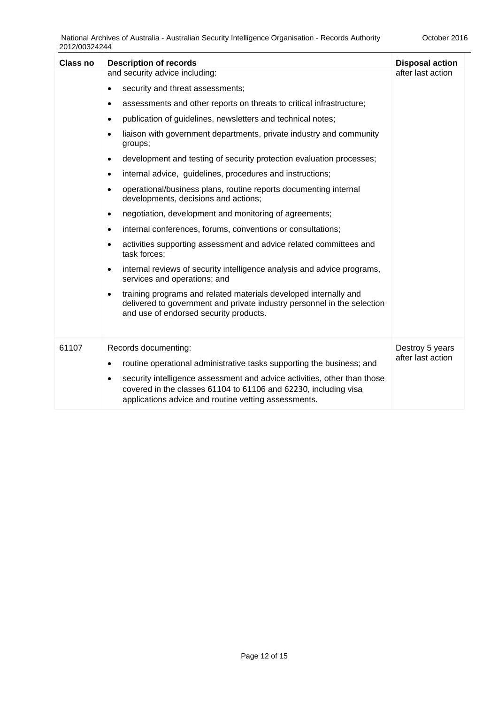| <b>Class no</b> | <b>Description of records</b>                                                                                                                                                                            | <b>Disposal action</b> |
|-----------------|----------------------------------------------------------------------------------------------------------------------------------------------------------------------------------------------------------|------------------------|
|                 | and security advice including:                                                                                                                                                                           | after last action      |
|                 | security and threat assessments;<br>$\bullet$                                                                                                                                                            |                        |
|                 | assessments and other reports on threats to critical infrastructure;<br>٠                                                                                                                                |                        |
|                 | publication of guidelines, newsletters and technical notes;<br>$\bullet$                                                                                                                                 |                        |
|                 | liaison with government departments, private industry and community<br>groups;                                                                                                                           |                        |
|                 | development and testing of security protection evaluation processes;<br>٠                                                                                                                                |                        |
|                 | internal advice, guidelines, procedures and instructions;<br>٠                                                                                                                                           |                        |
|                 | operational/business plans, routine reports documenting internal<br>$\bullet$<br>developments, decisions and actions;                                                                                    |                        |
|                 | negotiation, development and monitoring of agreements;<br>٠                                                                                                                                              |                        |
|                 | internal conferences, forums, conventions or consultations;<br>٠                                                                                                                                         |                        |
|                 | activities supporting assessment and advice related committees and<br>task forces:                                                                                                                       |                        |
|                 | internal reviews of security intelligence analysis and advice programs,<br>$\bullet$<br>services and operations; and                                                                                     |                        |
|                 | training programs and related materials developed internally and<br>delivered to government and private industry personnel in the selection<br>and use of endorsed security products.                    |                        |
| 61107           | Records documenting:                                                                                                                                                                                     | Destroy 5 years        |
|                 | routine operational administrative tasks supporting the business; and<br>$\bullet$                                                                                                                       | after last action      |
|                 | security intelligence assessment and advice activities, other than those<br>٠<br>covered in the classes 61104 to 61106 and 62230, including visa<br>applications advice and routine vetting assessments. |                        |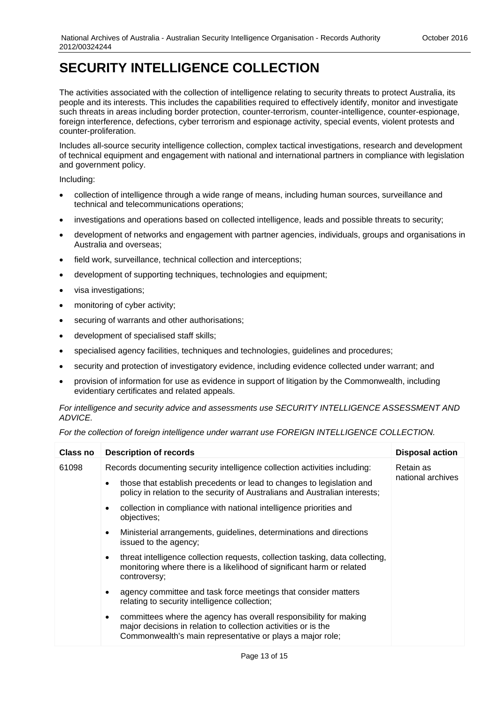#### <span id="page-12-0"></span>**SECURITY INTELLIGENCE COLLECTION**

The activities associated with the collection of intelligence relating to security threats to protect Australia, its people and its interests. This includes the capabilities required to effectively identify, monitor and investigate such threats in areas including border protection, counter-terrorism, counter-intelligence, counter-espionage, foreign interference, defections, cyber terrorism and espionage activity, special events, violent protests and counter-proliferation.

Includes all-source security intelligence collection, complex tactical investigations, research and development of technical equipment and engagement with national and international partners in compliance with legislation and government policy.

Including:

- collection of intelligence through a wide range of means, including human sources, surveillance and technical and telecommunications operations;
- investigations and operations based on collected intelligence, leads and possible threats to security;
- development of networks and engagement with partner agencies, individuals, groups and organisations in Australia and overseas;
- field work, surveillance, technical collection and interceptions;
- development of supporting techniques, technologies and equipment;
- visa investigations;
- monitoring of cyber activity;
- securing of warrants and other authorisations;
- development of specialised staff skills;
- specialised agency facilities, techniques and technologies, guidelines and procedures;
- security and protection of investigatory evidence, including evidence collected under warrant; and
- provision of information for use as evidence in support of litigation by the Commonwealth, including evidentiary certificates and related appeals.

*For intelligence and security advice and assessments use SECURITY INTELLIGENCE ASSESSMENT AND ADVICE.*

| For the collection of foreign intelligence under warrant use FOREIGN INTELLIGENCE COLLECTION. |  |
|-----------------------------------------------------------------------------------------------|--|
|-----------------------------------------------------------------------------------------------|--|

| <b>Class no</b> | <b>Description of records</b>                                                                                                                                                                                 | <b>Disposal action</b> |
|-----------------|---------------------------------------------------------------------------------------------------------------------------------------------------------------------------------------------------------------|------------------------|
| 61098           | Records documenting security intelligence collection activities including:                                                                                                                                    | Retain as              |
|                 | those that establish precedents or lead to changes to legislation and<br>policy in relation to the security of Australians and Australian interests;                                                          | national archives      |
|                 | collection in compliance with national intelligence priorities and<br>objectives;                                                                                                                             |                        |
|                 | Ministerial arrangements, guidelines, determinations and directions<br>$\bullet$<br>issued to the agency;                                                                                                     |                        |
|                 | threat intelligence collection requests, collection tasking, data collecting,<br>$\bullet$<br>monitoring where there is a likelihood of significant harm or related<br>controversy;                           |                        |
|                 | agency committee and task force meetings that consider matters<br>$\bullet$<br>relating to security intelligence collection;                                                                                  |                        |
|                 | committees where the agency has overall responsibility for making<br>$\bullet$<br>major decisions in relation to collection activities or is the<br>Commonwealth's main representative or plays a major role; |                        |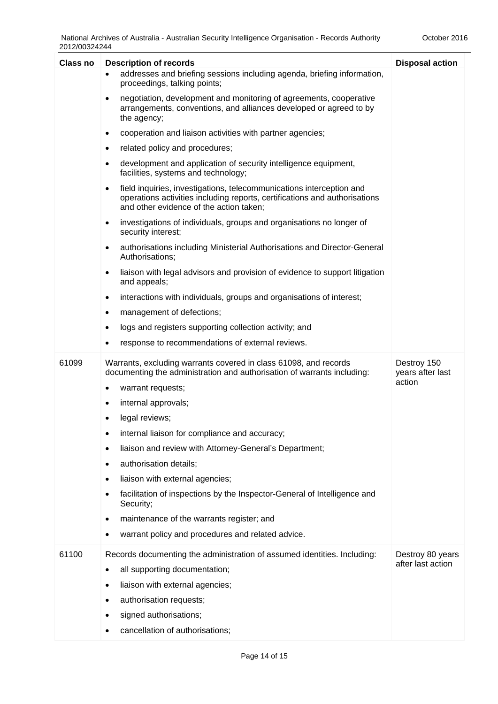| <b>Class no</b> | <b>Description of records</b>                                                                                                                                                                              | <b>Disposal action</b>          |
|-----------------|------------------------------------------------------------------------------------------------------------------------------------------------------------------------------------------------------------|---------------------------------|
|                 | addresses and briefing sessions including agenda, briefing information,<br>proceedings, talking points;                                                                                                    |                                 |
|                 | negotiation, development and monitoring of agreements, cooperative<br>$\bullet$<br>arrangements, conventions, and alliances developed or agreed to by<br>the agency;                                       |                                 |
|                 | cooperation and liaison activities with partner agencies;<br>$\bullet$                                                                                                                                     |                                 |
|                 | related policy and procedures;<br>$\bullet$                                                                                                                                                                |                                 |
|                 | development and application of security intelligence equipment,<br>$\bullet$<br>facilities, systems and technology;                                                                                        |                                 |
|                 | field inquiries, investigations, telecommunications interception and<br>$\bullet$<br>operations activities including reports, certifications and authorisations<br>and other evidence of the action taken; |                                 |
|                 | investigations of individuals, groups and organisations no longer of<br>$\bullet$<br>security interest;                                                                                                    |                                 |
|                 | authorisations including Ministerial Authorisations and Director-General<br>$\bullet$<br>Authorisations;                                                                                                   |                                 |
|                 | liaison with legal advisors and provision of evidence to support litigation<br>$\bullet$<br>and appeals;                                                                                                   |                                 |
|                 | interactions with individuals, groups and organisations of interest;<br>$\bullet$                                                                                                                          |                                 |
|                 | management of defections;<br>$\bullet$                                                                                                                                                                     |                                 |
|                 | logs and registers supporting collection activity; and<br>$\bullet$                                                                                                                                        |                                 |
|                 | response to recommendations of external reviews.<br>٠                                                                                                                                                      |                                 |
| 61099           | Warrants, excluding warrants covered in class 61098, and records<br>documenting the administration and authorisation of warrants including:                                                                | Destroy 150<br>years after last |
|                 | warrant requests;<br>$\bullet$                                                                                                                                                                             | action                          |
|                 | internal approvals;<br>٠                                                                                                                                                                                   |                                 |
|                 | legal reviews;                                                                                                                                                                                             |                                 |
|                 | internal liaison for compliance and accuracy;<br>٠                                                                                                                                                         |                                 |
|                 | liaison and review with Attorney-General's Department;<br>٠                                                                                                                                                |                                 |
|                 | authorisation details;<br>٠                                                                                                                                                                                |                                 |
|                 | liaison with external agencies;<br>٠                                                                                                                                                                       |                                 |
|                 | facilitation of inspections by the Inspector-General of Intelligence and<br>Security;                                                                                                                      |                                 |
|                 | maintenance of the warrants register; and<br>٠                                                                                                                                                             |                                 |
|                 | warrant policy and procedures and related advice.                                                                                                                                                          |                                 |
| 61100           | Records documenting the administration of assumed identities. Including:                                                                                                                                   | Destroy 80 years                |
|                 | all supporting documentation;<br>$\bullet$                                                                                                                                                                 | after last action               |
|                 | liaison with external agencies;<br>٠                                                                                                                                                                       |                                 |
|                 | authorisation requests;                                                                                                                                                                                    |                                 |
|                 | signed authorisations;                                                                                                                                                                                     |                                 |
|                 | cancellation of authorisations;                                                                                                                                                                            |                                 |